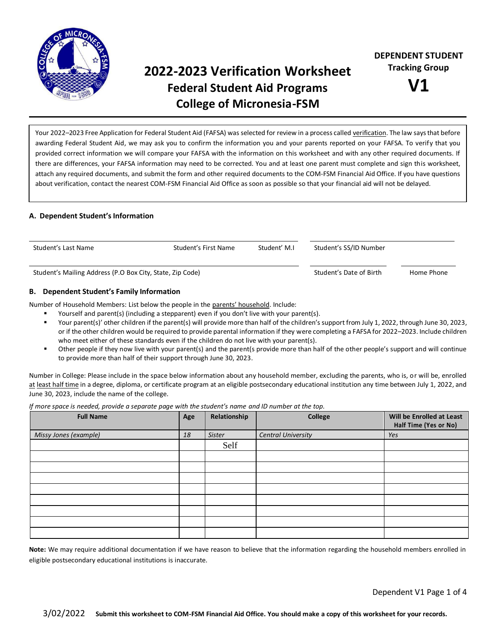

# **2022-2023 Verification Worksheet Federal Student Aid Programs College of Micronesia-FSM**



Your 2022–2023 Free Application for Federal Student Aid (FAFSA) was selected for review in a process called verification. The law says that before awarding Federal Student Aid, we may ask you to confirm the information you and your parents reported on your FAFSA. To verify that you provided correct information we will compare your FAFSA with the information on this worksheet and with any other required documents. If there are differences, your FAFSA information may need to be corrected. You and at least one parent must complete and sign this worksheet, attach any required documents, and submit the form and other required documents to the COM-FSM Financial Aid Office. If you have questions about verification, contact the nearest COM-FSM Financial Aid Office as soon as possible so that your financial aid will not be delayed.

# **A. Dependent Student's Information**

| Student' M.I.<br>Student's Last Name<br>Student's First Name |  | Student's SS/ID Number |                         |            |
|--------------------------------------------------------------|--|------------------------|-------------------------|------------|
| Student's Mailing Address (P.O Box City, State, Zip Code)    |  |                        | Student's Date of Birth | Home Phone |

# **B. Dependent Student's Family Information**

Number of Household Members: List below the people in the parents' household. Include:

- Yourself and parent(s) (including a stepparent) even if you don't live with your parent(s).
- Your parent(s)' other children if the parent(s) will provide more than half of the children's support from July 1, 2022, through June 30, 2023, or if the other children would be required to provide parental information if they were completing a FAFSA for 2022–2023. Include children who meet either of these standards even if the children do not live with your parent(s).
- Other people if they now live with your parent(s) and the parent(s provide more than half of the other people's support and will continue to provide more than half of their support through June 30, 2023.

Number in College: Please include in the space below information about any household member, excluding the parents, who is, or will be, enrolled at least half time in a degree, diploma, or certificate program at an eligible postsecondary educational institution any time between July 1, 2022, and June 30, 2023, include the name of the college.

*If more space is needed, provide a separate page with the student's name and ID number at the top.*

| $\overline{\phantom{a}}$<br>.<br><b>Full Name</b> | Age | Relationship | $\cdot$<br><b>College</b> | Will be Enrolled at Least<br>Half Time (Yes or No) |
|---------------------------------------------------|-----|--------------|---------------------------|----------------------------------------------------|
| Missy Jones (example)                             | 18  | Sister       | <b>Central University</b> | Yes                                                |
|                                                   |     | Self         |                           |                                                    |
|                                                   |     |              |                           |                                                    |
|                                                   |     |              |                           |                                                    |
|                                                   |     |              |                           |                                                    |
|                                                   |     |              |                           |                                                    |
|                                                   |     |              |                           |                                                    |
|                                                   |     |              |                           |                                                    |
|                                                   |     |              |                           |                                                    |
|                                                   |     |              |                           |                                                    |

**Note:** We may require additional documentation if we have reason to believe that the information regarding the household members enrolled in eligible postsecondary educational institutions is inaccurate.

Dependent V1 Page 1 of 4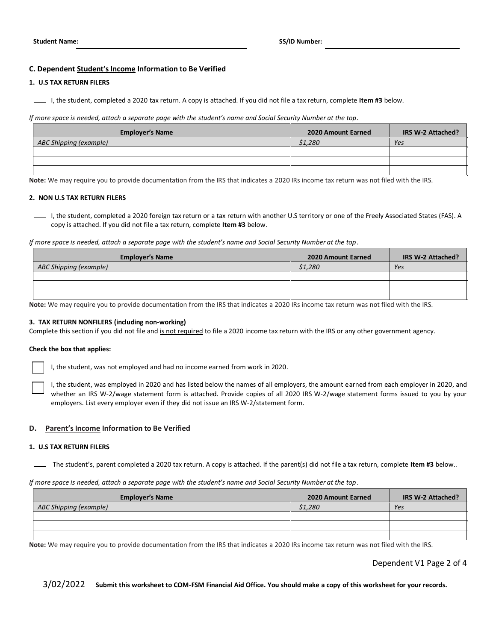# **C. Dependent Student's Income Information to Be Verified**

#### **1. U.S TAX RETURN FILERS**

I, the student, completed a 2020 tax return. A copy is attached. If you did not file a tax return, complete **Item #3** below.

*If more space is needed, attach a separate page with the student's name and Social Security Number at the top*.

| <b>Employer's Name</b> | 2020 Amount Earned | IRS W-2 Attached? |
|------------------------|--------------------|-------------------|
| ABC Shipping (example) | \$1,280            | Yes               |
|                        |                    |                   |
|                        |                    |                   |
|                        |                    |                   |

**Note:** We may require you to provide documentation from the IRS that indicates a 2020 IRs income tax return was not filed with the IRS.

#### **2. NON U.S TAX RETURN FILERS**

I, the student, completed a 2020 foreign tax return or a tax return with another U.S territory or one of the Freely Associated States (FAS). A copy is attached. If you did not file a tax return, complete **Item #3** below.

*If more space is needed, attach a separate page with the student's name and Social Security Number at the top*.

| <b>Employer's Name</b> | 2020 Amount Earned | IRS W-2 Attached? |
|------------------------|--------------------|-------------------|
| ABC Shipping (example) | \$1,280            | Yes               |
|                        |                    |                   |
|                        |                    |                   |
|                        |                    |                   |

**Note:** We may require you to provide documentation from the IRS that indicates a 2020 IRs income tax return was not filed with the IRS.

#### **3. TAX RETURN NONFILERS (including non-working)**

Complete this section if you did not file and is not required to file a 2020 income tax return with the IRS or any other government agency.

#### **Check the box that applies:**

I, the student, was not employed and had no income earned from work in 2020.

I, the student, was employed in 2020 and has listed below the names of all employers, the amount earned from each employer in 2020, and whether an IRS W-2/wage statement form is attached. Provide copies of all 2020 IRS W-2/wage statement forms issued to you by your employers. List every employer even if they did not issue an IRS W-2/statement form.

#### **D. Parent's Income Information to Be Verified**

#### **1. U.S TAX RETURN FILERS**

The student's, parent completed a 2020 tax return. A copy is attached. If the parent(s) did not file a tax return, complete **Item #3** below..

*If more space is needed, attach a separate page with the student's name and Social Security Number at the top*.

| <b>Employer's Name</b> | 2020 Amount Earned | IRS W-2 Attached? |
|------------------------|--------------------|-------------------|
| ABC Shipping (example) | \$1,280            | Yes               |
|                        |                    |                   |
|                        |                    |                   |
|                        |                    |                   |

**Note:** We may require you to provide documentation from the IRS that indicates a 2020 IRs income tax return was not filed with the IRS.

Dependent V1 Page 2 of 4

3/02/2022 **Submit this worksheet to COM-FSM Financial Aid Office. You should make a copy of this worksheet for your records.**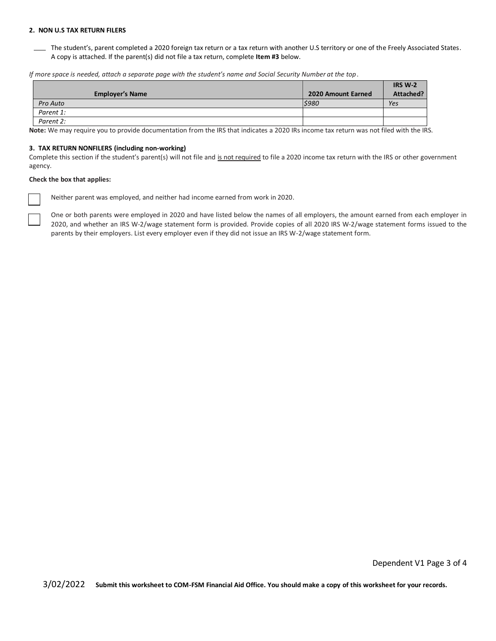### **2. NON U.S TAX RETURN FILERS**

The student's, parent completed a 2020 foreign tax return or a tax return with another U.S territory or one of the Freely Associated States. A copy is attached. If the parent(s) did not file a tax return, complete **Item #3** below.

*If more space is needed, attach a separate page with the student's name and Social Security Number at the top*.

|                        |                    | <b>IRS W-2</b> |
|------------------------|--------------------|----------------|
| <b>Employer's Name</b> | 2020 Amount Earned | Attached?      |
| Pro Auto               | 5980               | Yes            |
| Parent 1:              |                    |                |
| Parent 2:              |                    |                |

**Note:** We may require you to provide documentation from the IRS that indicates a 2020 IRs income tax return was not filed with the IRS.

#### **3. TAX RETURN NONFILERS (including non-working)**

Complete this section if the student's parent(s) will not file and is not required to file a 2020 income tax return with the IRS or other government agency.

## **Check the box that applies:**

Neither parent was employed, and neither had income earned from work in 2020.

One or both parents were employed in 2020 and have listed below the names of all employers, the amount earned from each employer in 2020, and whether an IRS W-2/wage statement form is provided. Provide copies of all 2020 IRS W-2/wage statement forms issued to the parents by their employers. List every employer even if they did not issue an IRS W-2/wage statement form.